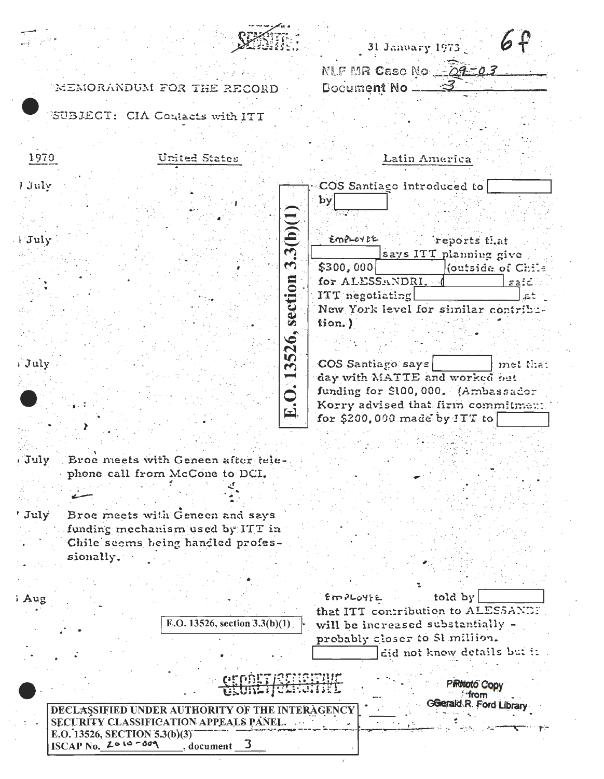| ÷                               |  |
|---------------------------------|--|
|                                 |  |
|                                 |  |
| 15.<br>$\overline{\phantom{a}}$ |  |

6 31 January 1973 $_{\odot}$ NLF MR Case No 22-03

V)

 $\boldsymbol{\varphi}$ 

Document No

 $\ddot{\phantom{a}}$ 

SUBJECT: CIA Contacts with ITT

MEMORANDUM FOR THE RECORD

| 1970               | United States                                                                                       | Latin America                                                        |
|--------------------|-----------------------------------------------------------------------------------------------------|----------------------------------------------------------------------|
| ) July             |                                                                                                     | COS Santiago introduced to                                           |
|                    |                                                                                                     | by                                                                   |
|                    | 3.3(b)(1)                                                                                           |                                                                      |
| <i>FJuly</i>       |                                                                                                     | EMPLOYEE<br>reports that                                             |
|                    |                                                                                                     | says ITT planning give                                               |
|                    |                                                                                                     | \$300,000<br>(outside of Chile                                       |
|                    |                                                                                                     | for ALESSANDRI.<br>said                                              |
|                    | section                                                                                             | ITT negotiating<br>New York level for similar contribu-              |
|                    |                                                                                                     | tion.)                                                               |
|                    | 3526,                                                                                               |                                                                      |
| July               |                                                                                                     | COS Santiago says<br>met that                                        |
|                    |                                                                                                     | day with MATTE and worked out.                                       |
|                    | E.O.1                                                                                               | funding for \$100,000. (Ambassador                                   |
|                    |                                                                                                     | Korry advised that firm commitment<br>for \$200,000 made by $1TT$ to |
|                    |                                                                                                     |                                                                      |
|                    |                                                                                                     |                                                                      |
| , July             | Broe meets with Geneen after tele-                                                                  |                                                                      |
|                    | phone call from McCone to DCI.                                                                      |                                                                      |
|                    |                                                                                                     |                                                                      |
| ' July             | Broe meets with Geneen and says                                                                     |                                                                      |
|                    | funding mechanism used by ITT in                                                                    |                                                                      |
|                    | Chile seems being handled profes-                                                                   |                                                                      |
| sionally.          |                                                                                                     |                                                                      |
|                    |                                                                                                     |                                                                      |
| Aug                |                                                                                                     | told by<br>EMPLOYEE                                                  |
|                    |                                                                                                     | that ITT contribution to ALESSANDE                                   |
|                    | E.O. 13526, section 3.3(b)(1)                                                                       | will be increased substantially -                                    |
|                    |                                                                                                     | probably closer to Sl million.<br>did not know details but it        |
|                    |                                                                                                     |                                                                      |
|                    | <b>CEPDITICSHORTHE</b><br>$\bigcup_{i=1}^{n} \bigcup_{i=1}^{n} \bigcup_{i=1}^{n} \bigcup_{i=1}^{n}$ | <b>PiRticto Copy</b><br>from                                         |
|                    | DECLASSIFIED UNDER AUTHORITY OF THE INTERAGENCY                                                     | Gerald R. Ford Library                                               |
|                    | SECURITY CLASSIFICATION APPEALS PANEL.                                                              |                                                                      |
| ISCAP No. 2010-009 | E.O. 13526, SECTION 5.3(b)(3)<br>3<br>, document                                                    |                                                                      |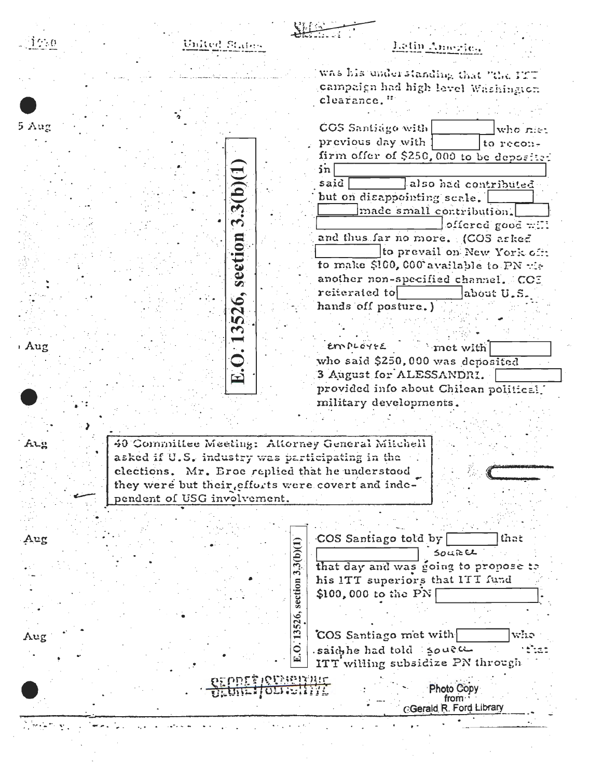|       | United States                                      | Letin America                                                    |
|-------|----------------------------------------------------|------------------------------------------------------------------|
|       |                                                    | was his understanding that "the PTT                              |
|       |                                                    | campaign had high level Washington                               |
|       |                                                    | clearance."                                                      |
|       |                                                    |                                                                  |
| 5 Aug |                                                    | COS Santiago with<br>who niet                                    |
|       |                                                    | previous day with<br>to recon-                                   |
|       |                                                    | firm offer of \$250,000 to be deposited                          |
|       |                                                    | sin                                                              |
|       | 3(b)(1)                                            | also had contributed<br>said                                     |
|       |                                                    | but on disappointing scale.                                      |
|       |                                                    | made small contribution.                                         |
|       | بما                                                | offered good will                                                |
|       |                                                    | and thus far no more. (COS askes                                 |
|       |                                                    | to prevail on New York off:                                      |
|       | section                                            | to make \$100,000 available to PN wi-                            |
|       |                                                    | another non-specified channel. CC5                               |
|       | $\ddot{\bullet}$                                   | reiterated to<br>about U.S.                                      |
|       | 52                                                 | hands off posture.)                                              |
|       | S                                                  |                                                                  |
|       |                                                    |                                                                  |
| : Aug |                                                    | EMPLOYEE<br>met with                                             |
|       |                                                    | who said \$250,000 was deposited                                 |
|       | $\blacktriangleright$                              | 3 August for ALESSANDRI.                                         |
|       |                                                    | provided info about Chilean political.<br>military developments. |
|       |                                                    |                                                                  |
|       |                                                    |                                                                  |
| Aıg   | 40 Committee Meeting: Attorney General Mitchell    |                                                                  |
|       | asked if U.S. industry was participating in the    |                                                                  |
|       | clections. Mr. Eroe replied that he understood     |                                                                  |
|       | they were but their, efforts were covert and inde- |                                                                  |
|       | pendent of USG involvement.                        |                                                                  |
|       |                                                    |                                                                  |
|       |                                                    |                                                                  |
|       |                                                    |                                                                  |
|       |                                                    | COS Santiago told by<br>that                                     |
|       |                                                    | <b>SOLREL</b>                                                    |
|       |                                                    | 3(b)(1)<br>that day and was going to propose to                  |
| Aug   |                                                    | his ITT superiors that ITT fund                                  |
|       |                                                    | $$100,000$ to the PN                                             |
|       |                                                    |                                                                  |
|       |                                                    | $\overline{2}$                                                   |
|       |                                                    | $\mathbf{13}$<br>COS Santiago met with<br>who                    |
| Aug   |                                                    | Q<br>saidthe had told soute                                      |
|       |                                                    | ITT willing subsidize PN through                                 |
|       | PEPDER IQUARITARIO                                 |                                                                  |
|       | Ordneiforgeith                                     | <b>Photo Copy</b><br>from.                                       |
|       |                                                    | <b>CGerald R. Ford Library</b>                                   |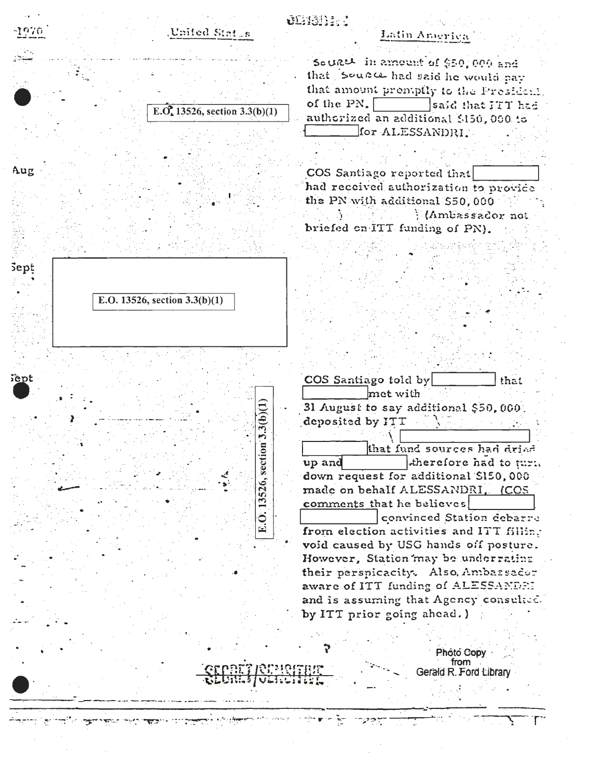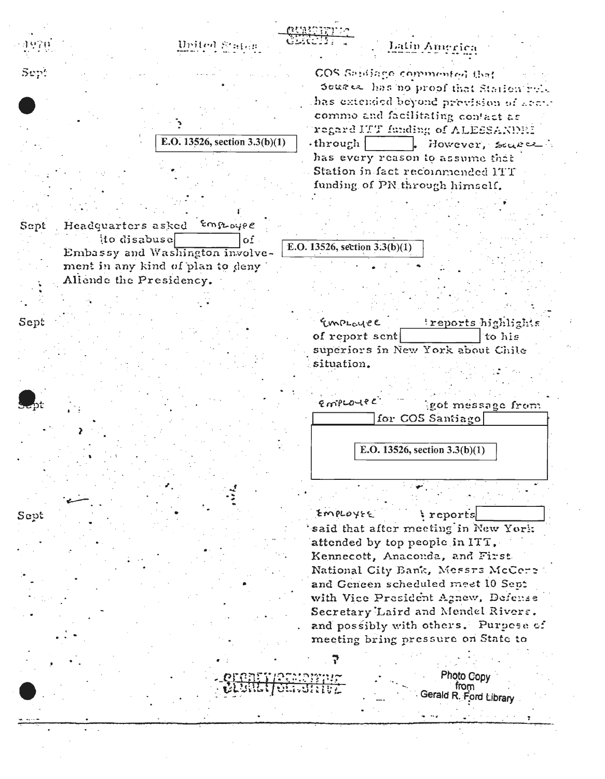

E.O. 13526, section 3.3(b)(1)

Employee Sept Headquarters asked to disabuse  $\Omega$ Embassy and Washington involvement in any kind of plan to deny Allende the Presidency.

Sept

Sept

Emproyee treports\_highlights of report sent to his superiors in New York about Chile situation.



EMPLOYEE reports said that after meeting in New York. attended by top people in ITT. Kennecott, Anaconda, and First National City Bank, Messrs McCere and Geneen scheduled meet 10 Sept with Vice President Agnew, Defense Secretary Laird and Mendel Rivers. and possibly with others. Purpese of meeting bring pressure on State to

> Photo Copy from Gerald R. Ford Library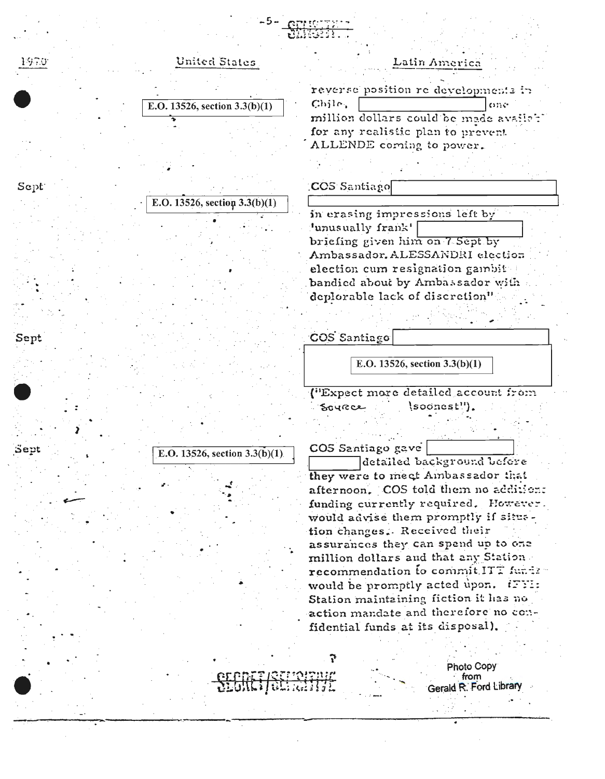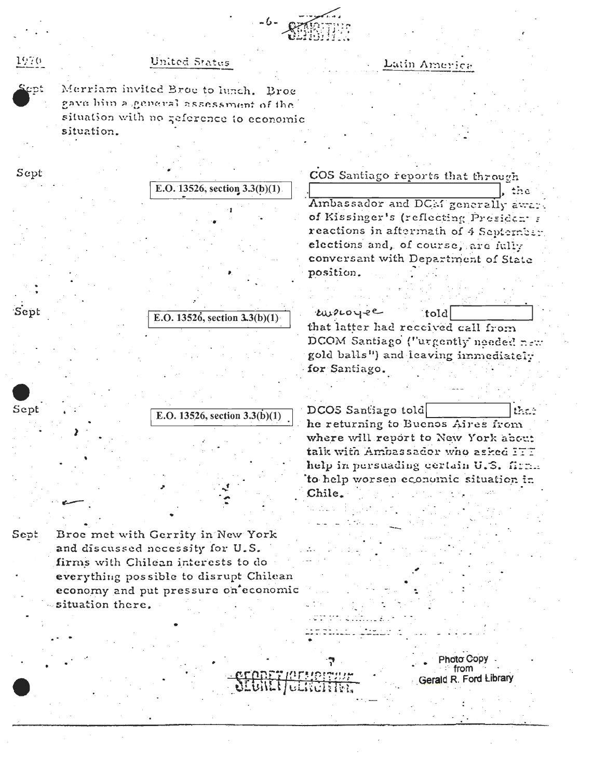

## Lutin America

## United Status

Merriam invited Broe to lunch. Broe gave him a general assessment of the situation with no zeference to economic situation.

1970

Sept

| Sept |                  |                                                                                                                      |                    | COS Santiago reports that through                                                                                                                                                                  |
|------|------------------|----------------------------------------------------------------------------------------------------------------------|--------------------|----------------------------------------------------------------------------------------------------------------------------------------------------------------------------------------------------|
|      |                  | E.O. 13526, section $3.3(b)(1)$ .                                                                                    |                    | the                                                                                                                                                                                                |
|      |                  |                                                                                                                      |                    | Ambassador and DCM generally awar<br>of Kissinger's (reflecting President a<br>reactions in aftermath of 4 September<br>elections and, of course, are fully<br>conversant with Department of State |
|      |                  |                                                                                                                      | position.          |                                                                                                                                                                                                    |
| Sept |                  | E.O. 13526, section $3.3(b)(1)$                                                                                      | twouse             | told<br>that latter had received call from                                                                                                                                                         |
|      |                  |                                                                                                                      | for Santiago.      | DCOM Santiago ("urgently needed new<br>gold balls") and leaving immediately                                                                                                                        |
| Sept |                  |                                                                                                                      | DCOS Santiago told | $\mathbb{R}$ and $\mathbb{R}$                                                                                                                                                                      |
|      |                  | E.O. 13526, section $3.3(b)(1)$                                                                                      |                    | he returning to Buenos Aires from<br>where will report to New York about<br>talk with Ambassador who asked ITT                                                                                     |
|      |                  |                                                                                                                      | Chile.             | help in persuading certain U.S. firm.<br>to help worsen economic situation in                                                                                                                      |
|      |                  |                                                                                                                      |                    |                                                                                                                                                                                                    |
| Sept |                  | Broe met with Gerrity in New York<br>and discussed necessity for U.S.                                                |                    |                                                                                                                                                                                                    |
|      |                  | firms with Chilean interests to do<br>everything possible to disrupt Chilean<br>economy and put pressure on economic |                    |                                                                                                                                                                                                    |
|      | situation there. |                                                                                                                      |                    |                                                                                                                                                                                                    |
|      |                  |                                                                                                                      |                    | Photo Copy                                                                                                                                                                                         |
|      |                  |                                                                                                                      |                    | $\therefore$ from<br>Gerald R. Ford Library                                                                                                                                                        |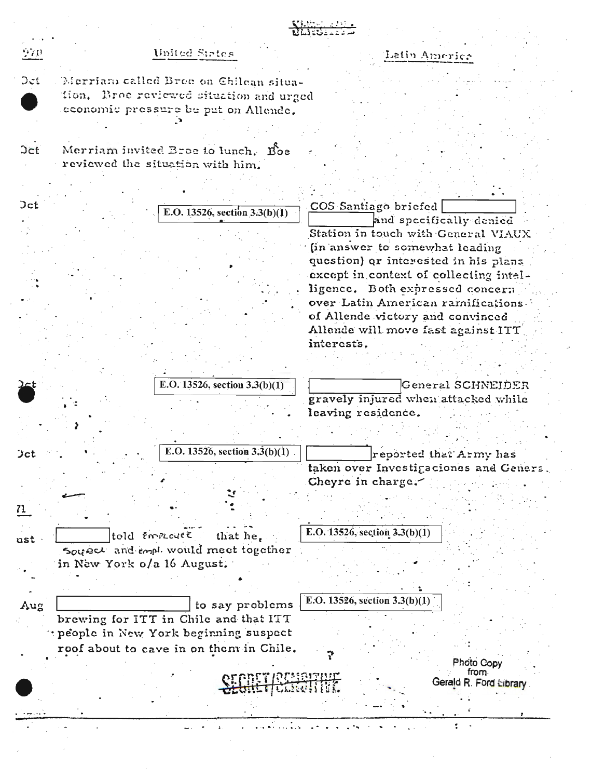|            |                                                                                                                          | <b>NATIONAL PROPERTY</b>                        |
|------------|--------------------------------------------------------------------------------------------------------------------------|-------------------------------------------------|
| 970        | United States                                                                                                            | Latin America                                   |
| Det        | Merriam called Broe on Chilean situa-<br>tion. Broe reviewed situation and urged<br>economic pressure be put on Allende. |                                                 |
|            |                                                                                                                          |                                                 |
| <b>Oct</b> | Merriam invited Broe to lunch. Boe<br>reviewed the situation with him.                                                   |                                                 |
|            |                                                                                                                          |                                                 |
| <b>Oct</b> | E.O. 13526, section $3.3(b)(1)$                                                                                          | COS Santiago briefed<br>and specifically denied |
|            |                                                                                                                          | Station in touch with General VIAUX             |
|            |                                                                                                                          | (in answer to somewhat leading                  |
|            |                                                                                                                          | question) or interested in his plans            |
|            |                                                                                                                          | except in context of collecting intel-          |
|            |                                                                                                                          | ligence. Both expressed concern                 |
|            |                                                                                                                          | over Latin American ramifications.              |
|            |                                                                                                                          | of Allende victory and convinced                |
|            |                                                                                                                          | Allende will move fast against ITT              |
|            |                                                                                                                          | interests.                                      |
|            |                                                                                                                          |                                                 |
|            | E.O. 13526, section $3.3(b)(1)$                                                                                          | General SCHNEIDER                               |
|            |                                                                                                                          | gravely injured when attacked while             |
|            |                                                                                                                          | leaving residence.                              |
|            |                                                                                                                          |                                                 |
|            |                                                                                                                          |                                                 |
| Jct        | E.O. 13526, section $3.\overline{3(b)(1)}$ .                                                                             | reported that Army has                          |
|            |                                                                                                                          | taken over Investigaciones and Genera.          |
|            |                                                                                                                          | Cheyre in charge.                               |
|            |                                                                                                                          |                                                 |
| 71         |                                                                                                                          |                                                 |
|            |                                                                                                                          | E.O. 13526, section $3.3(b)(1)$                 |
| ust        | told Employee<br>that he.                                                                                                |                                                 |
|            | Source and empt would meet together                                                                                      |                                                 |
|            | in New York o/a 16 August.                                                                                               |                                                 |
|            |                                                                                                                          |                                                 |
| Aug        | to say problems                                                                                                          | E.O. 13526, section $3.3(b)(1)$                 |
|            | brewing for ITT in Chile and that ITT                                                                                    |                                                 |
|            | "people in New York beginning suspect                                                                                    |                                                 |
|            | roof about to cave in on them in Chile.                                                                                  |                                                 |
|            |                                                                                                                          | Photo Copy                                      |
|            |                                                                                                                          | from.<br><u> PENSISIN</u>                       |
|            | <b>CEQUEL COMANDEL</b>                                                                                                   | Gerald R. Ford Library                          |
|            |                                                                                                                          |                                                 |
|            |                                                                                                                          |                                                 |
|            |                                                                                                                          |                                                 |
|            |                                                                                                                          |                                                 |